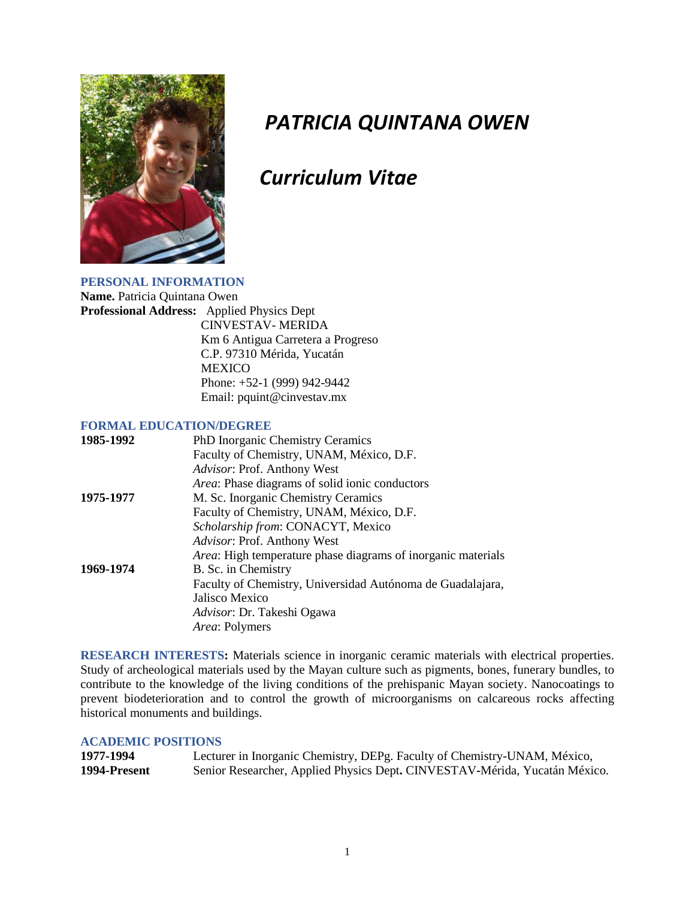

# *PATRICIA QUINTANA OWEN*

# *Curriculum Vitae*

#### **PERSONAL INFORMATION Name.** Patricia Quintana Owen

**Professional Address:** Applied Physics Dept CINVESTAV- MERIDA Km 6 Antigua Carretera a Progreso C.P. 97310 Mérida, Yucatán MEXICO Phone: +52-1 (999) 942-9442 Email: pquint@cinvestav.mx

# **FORMAL EDUCATION/DEGREE**

| 1985-1992 | PhD Inorganic Chemistry Ceramics                                     |
|-----------|----------------------------------------------------------------------|
|           | Faculty of Chemistry, UNAM, México, D.F.                             |
|           | Advisor: Prof. Anthony West                                          |
|           | <i>Area:</i> Phase diagrams of solid ionic conductors                |
| 1975-1977 | M. Sc. Inorganic Chemistry Ceramics                                  |
|           | Faculty of Chemistry, UNAM, México, D.F.                             |
|           | Scholarship from: CONACYT, Mexico                                    |
|           | Advisor: Prof. Anthony West                                          |
|           | <i>Area</i> : High temperature phase diagrams of inorganic materials |
| 1969-1974 | B. Sc. in Chemistry                                                  |
|           | Faculty of Chemistry, Universidad Autónoma de Guadalajara,           |
|           | Jalisco Mexico                                                       |
|           | Advisor: Dr. Takeshi Ogawa                                           |
|           | Area: Polymers                                                       |

**RESEARCH INTERESTS:** Materials science in inorganic ceramic materials with electrical properties. Study of archeological materials used by the Mayan culture such as pigments, bones, funerary bundles, to contribute to the knowledge of the living conditions of the prehispanic Mayan society. Nanocoatings to prevent biodeterioration and to control the growth of microorganisms on calcareous rocks affecting historical monuments and buildings.

# **ACADEMIC POSITIONS**

| 1977-1994    | Lecturer in Inorganic Chemistry, DEPg. Faculty of Chemistry-UNAM, México,  |
|--------------|----------------------------------------------------------------------------|
| 1994-Present | Senior Researcher, Applied Physics Dept. CINVESTAV-Mérida, Yucatán México. |